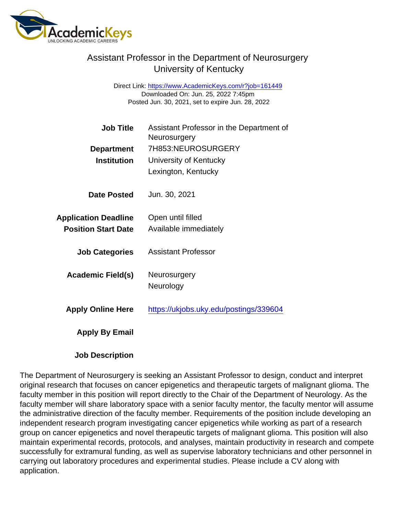## Assistant Professor in the Department of Neurosurgery University of Kentucky

Direct Link: <https://www.AcademicKeys.com/r?job=161449> Downloaded On: Jun. 25, 2022 7:45pm Posted Jun. 30, 2021, set to expire Jun. 28, 2022

| Job Title                   | Assistant Professor in the Department of<br>Neurosurgery |
|-----------------------------|----------------------------------------------------------|
| Department                  | 7H853:NEUROSURGERY                                       |
| Institution                 | University of Kentucky                                   |
|                             | Lexington, Kentucky                                      |
| Date Posted                 | Jun. 30, 2021                                            |
| <b>Application Deadline</b> | Open until filled                                        |
| <b>Position Start Date</b>  | Available immediately                                    |
| <b>Job Categories</b>       | Assistant Professor                                      |
| Academic Field(s)           | Neurosurgery                                             |
|                             | Neurology                                                |
| <b>Apply Online Here</b>    | https://ukjobs.uky.edu/postings/339604                   |
| Apply By Email              |                                                          |
|                             |                                                          |

Job Description

The Department of Neurosurgery is seeking an Assistant Professor to design, conduct and interpret original research that focuses on cancer epigenetics and therapeutic targets of malignant glioma. The faculty member in this position will report directly to the Chair of the Department of Neurology. As the faculty member will share laboratory space with a senior faculty mentor, the faculty mentor will assume the administrative direction of the faculty member. Requirements of the position include developing an independent research program investigating cancer epigenetics while working as part of a research group on cancer epigenetics and novel therapeutic targets of malignant glioma. This position will also maintain experimental records, protocols, and analyses, maintain productivity in research and compete successfully for extramural funding, as well as supervise laboratory technicians and other personnel in carrying out laboratory procedures and experimental studies. Please include a CV along with application.